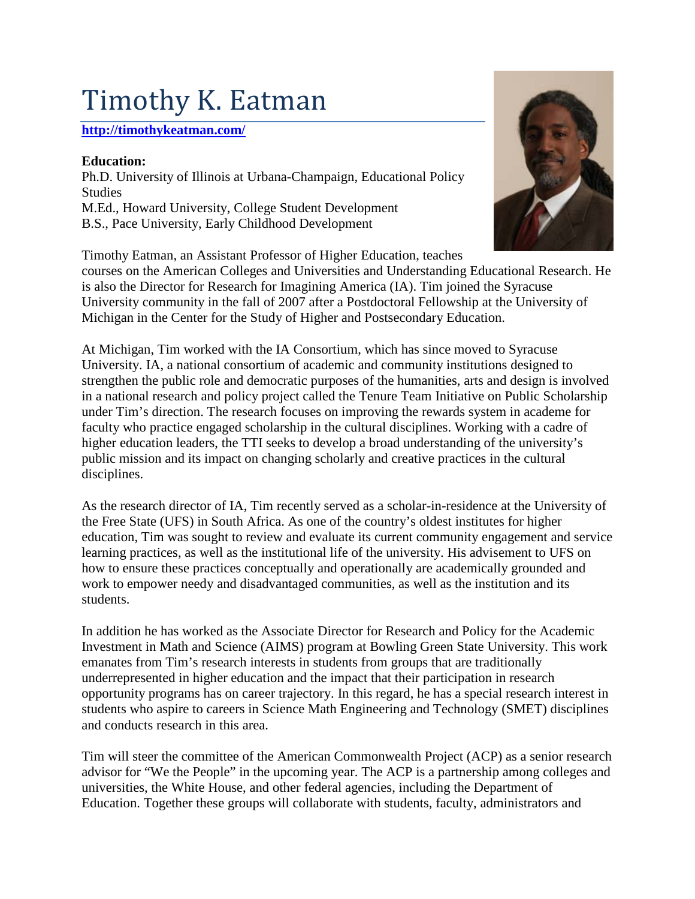## Timothy K. Eatman

## **<http://timothykeatman.com/>**

## **Education:**

Ph.D. University of Illinois at Urbana-Champaign, Educational Policy **Studies** M.Ed., Howard University, College Student Development B.S., Pace University, Early Childhood Development

Timothy Eatman, an Assistant Professor of Higher Education, teaches

courses on the American Colleges and Universities and Understanding Educational Research. He is also the Director for Research for Imagining America (IA). Tim joined the Syracuse University community in the fall of 2007 after a Postdoctoral Fellowship at the University of Michigan in the Center for the Study of Higher and Postsecondary Education.

At Michigan, Tim worked with the IA Consortium, which has since moved to Syracuse University. IA, a national consortium of academic and community institutions designed to strengthen the public role and democratic purposes of the humanities, arts and design is involved in a national research and policy project called the Tenure Team Initiative on Public Scholarship under Tim's direction. The research focuses on improving the rewards system in academe for faculty who practice engaged scholarship in the cultural disciplines. Working with a cadre of higher education leaders, the TTI seeks to develop a broad understanding of the university's public mission and its impact on changing scholarly and creative practices in the cultural disciplines.

As the research director of IA, Tim recently served as a scholar-in-residence at the University of the Free State (UFS) in South Africa. As one of the country's oldest institutes for higher education, Tim was sought to review and evaluate its current community engagement and service learning practices, as well as the institutional life of the university. His advisement to UFS on how to ensure these practices conceptually and operationally are academically grounded and work to empower needy and disadvantaged communities, as well as the institution and its students.

In addition he has worked as the Associate Director for Research and Policy for the Academic Investment in Math and Science (AIMS) program at Bowling Green State University. This work emanates from Tim's research interests in students from groups that are traditionally underrepresented in higher education and the impact that their participation in research opportunity programs has on career trajectory. In this regard, he has a special research interest in students who aspire to careers in Science Math Engineering and Technology (SMET) disciplines and conducts research in this area.

Tim will steer the committee of the American Commonwealth Project (ACP) as a senior research advisor for "We the People" in the upcoming year. The ACP is a partnership among colleges and universities, the White House, and other federal agencies, including the Department of Education. Together these groups will collaborate with students, faculty, administrators and